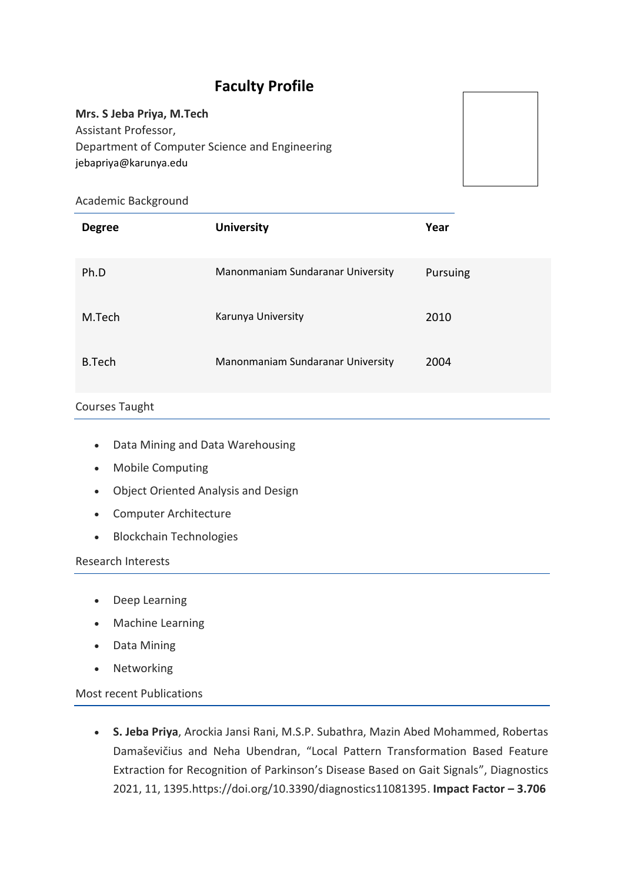# **Faculty Profile**

#### **Mrs. S Jeba Priya, M.Tech**

Assistant Professor, Department of Computer Science and Engineering jebapriya@karunya.edu

## Academic Background

| <b>Degree</b> | <b>University</b>                 | Year     |
|---------------|-----------------------------------|----------|
| Ph.D          | Manonmaniam Sundaranar University | Pursuing |
| M.Tech        | Karunya University                | 2010     |
| B.Tech        | Manonmaniam Sundaranar University | 2004     |

# Courses Taught

- Data Mining and Data Warehousing
- Mobile Computing
- Object Oriented Analysis and Design
- Computer Architecture
- Blockchain Technologies

#### Research Interests

- Deep Learning
- Machine Learning
- Data Mining
- Networking

Most recent Publications

 **S. Jeba Priya**, Arockia Jansi Rani, M.S.P. Subathra, Mazin Abed Mohammed, Robertas Damaševičius and Neha Ubendran, "Local Pattern Transformation Based Feature Extraction for Recognition of Parkinson's Disease Based on Gait Signals", Diagnostics 2021, 11, 1395.https://doi.org/10.3390/diagnostics11081395. **Impact Factor – 3.706**

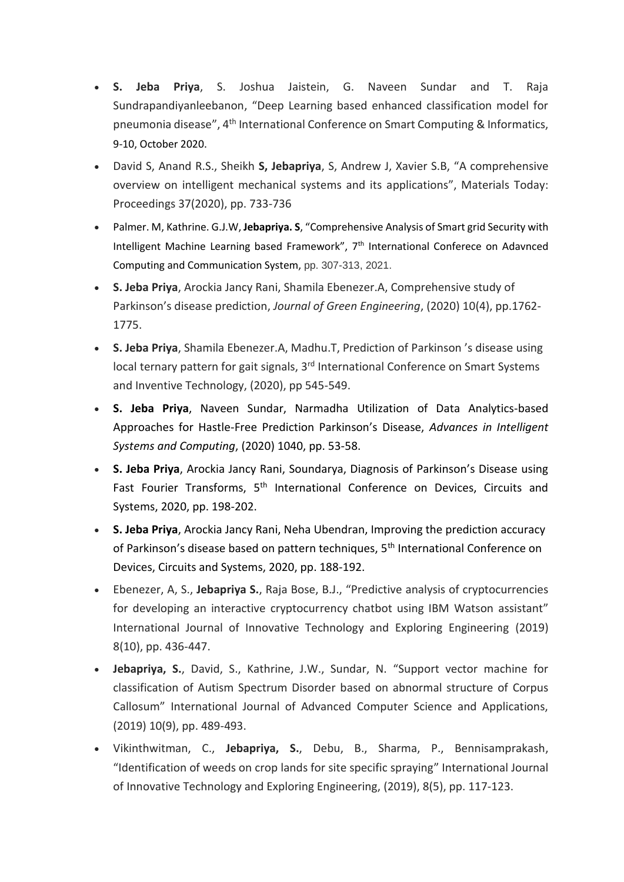- **S. Jeba Priya**, S. Joshua Jaistein, G. Naveen Sundar and T. Raja Sundrapandiyanleebanon, "Deep Learning based enhanced classification model for pneumonia disease", 4<sup>th</sup> International Conference on Smart Computing & Informatics, 9-10, October 2020.
- David S, Anand R.S., Sheikh **S, Jebapriya**, S, Andrew J, Xavier S.B, "A comprehensive overview on intelligent mechanical systems and its applications", Materials Today: Proceedings 37(2020), pp. 733-736
- Palmer. M, Kathrine. G.J.W, **Jebapriya. S**, "Comprehensive Analysis of Smart grid Security with Intelligent Machine Learning based Framework", 7<sup>th</sup> International Conferece on Adavnced Computing and Communication System, pp. 307-313, 2021.
- **S. Jeba Priya**, Arockia Jancy Rani, Shamila Ebenezer.A, Comprehensive study of Parkinson's disease prediction, *Journal of Green Engineering*, (2020) 10(4), pp.1762- 1775.
- **S. Jeba Priya**, Shamila Ebenezer.A, Madhu.T, Prediction of Parkinson 's disease using local ternary pattern for gait signals, 3<sup>rd</sup> International Conference on Smart Systems and Inventive Technology, (2020), pp 545-549.
- **S. Jeba Priya**, Naveen Sundar, Narmadha Utilization of Data Analytics-based Approaches for Hastle-Free Prediction Parkinson's Disease, *Advances in Intelligent Systems and Computing*, (2020) 1040, pp. 53-58.
- **S. Jeba Priya**, Arockia Jancy Rani, Soundarya, Diagnosis of Parkinson's Disease using Fast Fourier Transforms, 5<sup>th</sup> International Conference on Devices, Circuits and Systems, 2020, pp. 198-202.
- **S. Jeba Priya**, Arockia Jancy Rani, Neha Ubendran, Improving the prediction accuracy of Parkinson's disease based on pattern techniques, 5<sup>th</sup> International Conference on Devices, Circuits and Systems, 2020, pp. 188-192.
- Ebenezer, A, S., **Jebapriya S.**, Raja Bose, B.J., "Predictive analysis of cryptocurrencies for developing an interactive cryptocurrency chatbot using IBM Watson assistant" International Journal of Innovative Technology and Exploring Engineering (2019) 8(10), pp. 436-447.
- **Jebapriya, S.**, David, S., Kathrine, J.W., Sundar, N. "Support vector machine for classification of Autism Spectrum Disorder based on abnormal structure of Corpus Callosum" International Journal of Advanced Computer Science and Applications, (2019) 10(9), pp. 489-493.
- Vikinthwitman, C., **Jebapriya, S.**, Debu, B., Sharma, P., Bennisamprakash, "Identification of weeds on crop lands for site specific spraying" International Journal of Innovative Technology and Exploring Engineering, (2019), 8(5), pp. 117-123.